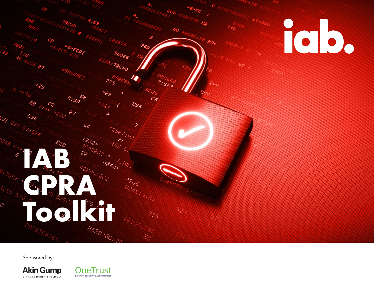

Sponsored by:

**Akin Gump** STRAUSS HAUER & FELD LLP

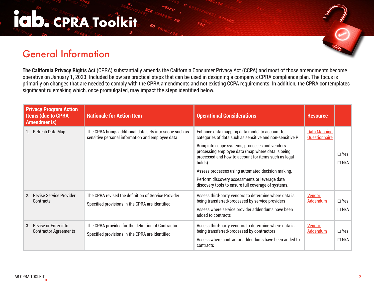#### IC D. CPRA Toolkit

#### General Information

**The California Privacy Rights Act** (CPRA) substantially amends the California Consumer Privacy Act (CCPA) and most of those amendments become operative on January 1, 2023. Included below are practical steps that can be used in designing a company's CPRA compliance plan. The focus is primarily on changes that are needed to comply with the CPRA amendments and not existing CCPA requirements. In addition, the CPRA contemplates significant rulemaking which, once promulgated, may impact the steps identified below.

| <b>Privacy Program Action</b><br><b>Items (due to CPRA</b><br><b>Amendments)</b> | <b>Rationale for Action Item</b>                                                                            | <b>Operational Considerations</b>                                                                                                                                                                                                                                                                                                                                                                                                                   | <b>Resource</b>                      |                          |
|----------------------------------------------------------------------------------|-------------------------------------------------------------------------------------------------------------|-----------------------------------------------------------------------------------------------------------------------------------------------------------------------------------------------------------------------------------------------------------------------------------------------------------------------------------------------------------------------------------------------------------------------------------------------------|--------------------------------------|--------------------------|
| Refresh Data Map                                                                 | The CPRA brings additional data sets into scope such as<br>sensitive personal information and employee data | Enhance data mapping data model to account for<br>categories of data such as sensitive and non-sensitive PI<br>Bring into scope systems, processes and vendors<br>processing employee data (map where data is being<br>processed and how to account for items such as legal<br>holds)<br>Assess processes using automated decision making.<br>Perform discovery assessments or leverage data<br>discovery tools to ensure full coverage of systems. | <b>Data Mapping</b><br>Questionnaire | $\Box$ Yes<br>$\Box N/A$ |
| <b>Revise Service Provider</b><br>2.<br>Contracts                                | The CPRA revised the definition of Service Provider<br>Specified provisions in the CPRA are identified      | Assess third-party vendors to determine where data is<br>being transferred/processed by service providers<br>Assess where service provider addendums have been<br>added to contracts                                                                                                                                                                                                                                                                | <b>Vendor</b><br><b>Addendum</b>     | $\Box$ Yes<br>$\Box N/A$ |
| <b>Revise or Enter into</b><br>3.<br><b>Contractor Agreements</b>                | The CPRA provides for the definition of Contractor<br>Specified provisions in the CPRA are identified       | Assess third-party vendors to determine where data is<br>being transferred/processed by contractors<br>Assess where contractor addendums have been added to<br>contracts                                                                                                                                                                                                                                                                            | <b>Vendor</b><br><b>Addendum</b>     | $\Box$ Yes<br>$\Box N/A$ |

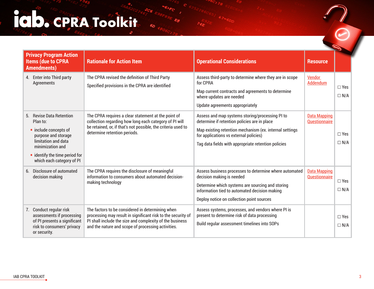## COCCERTA TOOKITO OF

| <b>Privacy Program Action</b><br><b>Items (due to CPRA</b><br><b>Amendments)</b>                                                                                                               | <b>Rationale for Action Item</b>                                                                                                                                                                                                   | <b>Operational Considerations</b>                                                                                                                                                                                                                           | <b>Resource</b>                             |                             |
|------------------------------------------------------------------------------------------------------------------------------------------------------------------------------------------------|------------------------------------------------------------------------------------------------------------------------------------------------------------------------------------------------------------------------------------|-------------------------------------------------------------------------------------------------------------------------------------------------------------------------------------------------------------------------------------------------------------|---------------------------------------------|-----------------------------|
| 4. Enter into Third party<br>Agreements                                                                                                                                                        | The CPRA revised the definition of Third Party<br>Specified provisions in the CPRA are identified                                                                                                                                  | Assess third-party to determine where they are in scope<br>for CPRA<br>Map current contracts and agreements to determine<br>where updates are needed<br>Update agreements appropriately                                                                     | Vendor<br>Addendum                          | $\Box$ Yes<br>$\Box N/A$    |
| 5. Revise Data Retention<br>Plan to:<br>• include concepts of<br>purpose and storage<br>limitation and data<br>minimization and<br>· identify the time period for<br>which each category of PI | The CPRA requires a clear statement at the point of<br>collection regarding how long each category of PI will<br>be retained, or, if that's not possible, the criteria used to<br>determine retention periods.                     | Assess and map systems storing/processing PI to<br>determine if retention policies are in place<br>Map existing retention mechanism (ex. internal settings<br>for applications vs external policies)<br>Tag data fields with appropriate retention policies | <b>Data Mapping</b><br>Questionnaire        | $\Box$ Yes<br>$\Box N/A$    |
| 6. Disclosure of automated<br>decision making                                                                                                                                                  | The CPRA requires the disclosure of meaningful<br>information to consumers about automated decision-<br>making technology                                                                                                          | Assess business processes to determine where automated<br>decision making is needed<br>Determine which systems are sourcing and storing<br>information tied to automated decision making<br>Deploy notice on collection point sources                       | <b>Data Mapping</b><br><b>Questionnaire</b> | $\square$ Yes<br>$\Box N/A$ |
| 7. Conduct regular risk<br>assessments if processing<br>of PI presents a significant<br>risk to consumers' privacy<br>or security.                                                             | The factors to be considered in determining when<br>processing may result in significant risk to the security of<br>PI shall include the size and complexity of the business<br>and the nature and scope of processing activities. | Assess systems, processes, and vendors where PI is<br>present to determine risk of data processing<br>Build regular assessment timelines into SOPs                                                                                                          |                                             | $\Box$ Yes<br>$\Box N/A$    |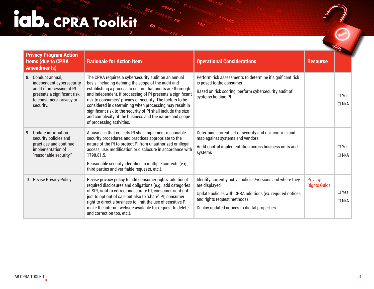## COCPRA TOOKING SOF

| <b>Privacy Program Action</b><br><b>Items (due to CPRA</b><br><b>Amendments)</b>                                                                     | <b>Rationale for Action Item</b>                                                                                                                                                                                                                                                                                                                                                                                                                                                                                          | <b>Operational Considerations</b>                                                                                                                                                                                       | <b>Resource</b>                       |                             |
|------------------------------------------------------------------------------------------------------------------------------------------------------|---------------------------------------------------------------------------------------------------------------------------------------------------------------------------------------------------------------------------------------------------------------------------------------------------------------------------------------------------------------------------------------------------------------------------------------------------------------------------------------------------------------------------|-------------------------------------------------------------------------------------------------------------------------------------------------------------------------------------------------------------------------|---------------------------------------|-----------------------------|
| 8. Conduct annual,<br>independent cybersecurity<br>audit if processing of PI<br>presents a significant risk<br>to consumers' privacy or<br>security. | The CPRA requires a cybersecurity audit on an annual<br>basis, including defining the scope of the audit and<br>establishing a process to ensure that audits are thorough<br>and independent, if processing of PI presents a significant<br>risk to consumers' privacy or security. The factors to be<br>considered in determining when processing may result in<br>significant risk to the security of PI shall include the size<br>and complexity of the business and the nature and scope<br>of processing activities. | Perform risk assessments to determine if significant risk<br>is posed to the consumer<br>Based on risk scoring, perform cybersecurity audit of<br>systems holding PI                                                    |                                       | $\square$ Yes<br>$\Box$ N/A |
| 9. Update information<br>security policies and<br>practices and continue<br>implementation of<br>"reasonable security."                              | A business that collects PI shall implement reasonable<br>security procedures and practices appropriate to the<br>nature of the PI to protect PI from unauthorized or illegal<br>access, use, modification or disclosure in accordance with<br>1798.81.5.<br>Reasonable security identified in multiple contexts (e.g.,<br>third parties and verifiable requests, etc.).                                                                                                                                                  | Determine current set of security and risk controls and<br>map against systems and vendors<br>Audit control implementation across business units and<br>systems                                                         |                                       | $\Box$ Yes<br>$\Box N/A$    |
| 10. Revise Privacy Policy                                                                                                                            | Revise privacy policy to add consumer rights, additional<br>required disclosures and obligations (e.g., add categories<br>of SPI, right to correct inaccurate PI, consumer right not<br>just to opt out of sale but also to "share" PI; consumer<br>right to direct a business to limit the use of sensitive PI,<br>make the internet website available for request to delete<br>and correction too, etc.).                                                                                                               | Identify currently active policies/versions and where they<br>are displayed<br>Update policies with CPRA additions (ex. required notices<br>and rights request methods)<br>Deploy updated notices to digital properties | <b>Privacy</b><br><b>Rights Guide</b> | $\square$ Yes<br>$\Box N/A$ |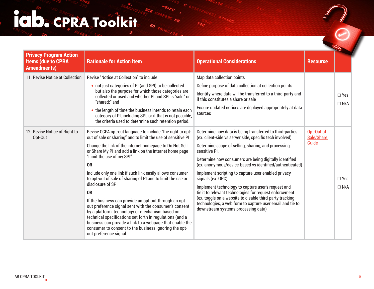## CPRA TOOKING SOF

| <b>Privacy Program Action</b><br><b>Items (due to CPRA</b><br><b>Amendments)</b> | <b>Rationale for Action Item</b>                                                                                                                                                                                                                                                                                                                                                                                                                                                                                                                                                                                                                                                                                                                                                                                                         | <b>Operational Considerations</b>                                                                                                                                                                                                                                                                                                                                                                                                                                                                                                                                                                                                                                               | <b>Resource</b>                   |                             |
|----------------------------------------------------------------------------------|------------------------------------------------------------------------------------------------------------------------------------------------------------------------------------------------------------------------------------------------------------------------------------------------------------------------------------------------------------------------------------------------------------------------------------------------------------------------------------------------------------------------------------------------------------------------------------------------------------------------------------------------------------------------------------------------------------------------------------------------------------------------------------------------------------------------------------------|---------------------------------------------------------------------------------------------------------------------------------------------------------------------------------------------------------------------------------------------------------------------------------------------------------------------------------------------------------------------------------------------------------------------------------------------------------------------------------------------------------------------------------------------------------------------------------------------------------------------------------------------------------------------------------|-----------------------------------|-----------------------------|
| 11. Revise Notice at Collection                                                  | <b>Revise "Notice at Collection" to include</b><br>• not just categories of PI (and SPI) to be collected<br>but also the purpose for which those categories are<br>collected or used and whether PI and SPI is "sold" or<br>"shared;" and<br>• the length of time the business intends to retain each<br>category of PI, including SPI, or if that is not possible,<br>the criteria used to determine such retention period.                                                                                                                                                                                                                                                                                                                                                                                                             | Map data collection points<br>Define purpose of data collection at collection points<br>Identify where data will be transferred to a third-party and<br>if this constitutes a share or sale<br>Ensure updated notices are deployed appropriately at data<br>sources                                                                                                                                                                                                                                                                                                                                                                                                             |                                   | $\square$ Yes<br>$\Box N/A$ |
| 12. Revise Notice of Right to<br>Opt-Out                                         | Revise CCPA opt-out language to include "the right to opt-<br>out of sale or sharing" and to limit the use of sensitive PI<br>Change the link of the internet homepage to Do Not Sell<br>or Share My PI and add a link on the internet home page<br>"Limit the use of my SPI"<br><b>OR</b><br>Include only one link if such link easily allows consumer<br>to opt-out of sale of sharing of PI and to limit the use or<br>disclosure of SPI<br><b>OR</b><br>If the business can provide an opt out through an opt<br>out preference signal sent with the consumer's consent<br>by a platform, technology or mechanism based on<br>technical specifications set forth in regulations (and a<br>business can provide a link to a webpage that enable the<br>consumer to consent to the business ignoring the opt-<br>out preference signal | Determine how data is being transferred to third-parties<br>(ex. client-side vs server side, specific tech involved)<br>Determine scope of selling, sharing, and processing<br>sensitive PI.<br>Determine how consumers are being digitally identified<br>(ex. anonymous/device-based vs identified/authenticated)<br>Implement scripting to capture user enabled privacy<br>signals (ex. GPC)<br>Implement technology to capture user's request and<br>tie it to relevant technologies for request enforcement<br>(ex. toggle on a website to disable third-party tracking<br>technologies, a web form to capture user email and tie to<br>downstream systems processing data) | Opt-Out of<br>Sale/Share<br>Guide | $\Box$ Yes<br>$\Box N/A$    |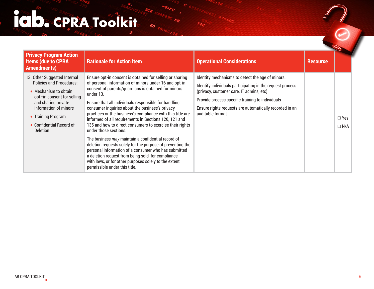# COCPRA TOOKING SO

| <b>Privacy Program Action</b><br><b>Items (due to CPRA</b><br><b>Amendments)</b>                                                                                                                                                            | <b>Rationale for Action Item</b>                                                                                                                                                                                                                                                                                                                                                                                                                                                                                                                                                                                                                                                                                                                                                                                                         | <b>Operational Considerations</b>                                                                                                                                                                                                                                                            | <b>Resource</b> |                          |
|---------------------------------------------------------------------------------------------------------------------------------------------------------------------------------------------------------------------------------------------|------------------------------------------------------------------------------------------------------------------------------------------------------------------------------------------------------------------------------------------------------------------------------------------------------------------------------------------------------------------------------------------------------------------------------------------------------------------------------------------------------------------------------------------------------------------------------------------------------------------------------------------------------------------------------------------------------------------------------------------------------------------------------------------------------------------------------------------|----------------------------------------------------------------------------------------------------------------------------------------------------------------------------------------------------------------------------------------------------------------------------------------------|-----------------|--------------------------|
| 13. Other Suggested Internal<br><b>Policies and Procedures:</b><br>• Mechanism to obtain<br>opt-in consent for selling<br>and sharing private<br>information of minors<br>• Training Program<br>• Confidential Record of<br><b>Deletion</b> | Ensure opt-in consent is obtained for selling or sharing<br>of personal information of minors under 16 and opt-in<br>consent of parents/quardians is obtained for minors<br>under 13.<br>Ensure that all individuals responsible for handling<br>consumer inquiries about the business's privacy<br>practices or the business's compliance with this title are<br>informed of all requirements in Sections 120, 121 and<br>135 and how to direct consumers to exercise their rights<br>under those sections.<br>The business may maintain a confidential record of<br>deletion requests solely for the purpose of preventing the<br>personal information of a consumer who has submitted<br>a deletion request from being sold, for compliance<br>with laws, or for other purposes solely to the extent<br>permissible under this title. | Identity mechanisms to detect the age of minors.<br>Identify individuals participating in the request process<br>(privacy, customer care, IT admins, etc)<br>Provide process specific training to individuals<br>Ensure rights requests are automatically recorded in an<br>auditable format |                 | $\Box$ Yes<br>$\Box N/A$ |